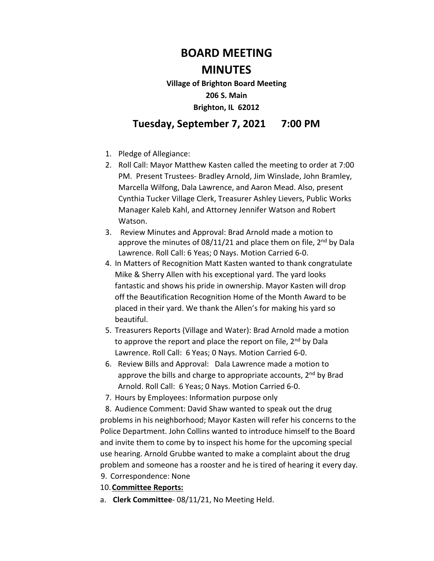## **BOARD MEETING**

## **MINUTES**

**Village of Brighton Board Meeting 206 S. Main Brighton, IL 62012** 

## **Tuesday, September 7, 2021 7:00 PM**

- 1. Pledge of Allegiance:
- 2. Roll Call: Mayor Matthew Kasten called the meeting to order at 7:00 PM. Present Trustees- Bradley Arnold, Jim Winslade, John Bramley, Marcella Wilfong, Dala Lawrence, and Aaron Mead. Also, present Cynthia Tucker Village Clerk, Treasurer Ashley Lievers, Public Works Manager Kaleb Kahl, and Attorney Jennifer Watson and Robert Watson.
- 3. Review Minutes and Approval: Brad Arnold made a motion to approve the minutes of 08/11/21 and place them on file,  $2<sup>nd</sup>$  by Dala Lawrence. Roll Call: 6 Yeas; 0 Nays. Motion Carried 6-0.
- 4. In Matters of Recognition Matt Kasten wanted to thank congratulate Mike & Sherry Allen with his exceptional yard. The yard looks fantastic and shows his pride in ownership. Mayor Kasten will drop off the Beautification Recognition Home of the Month Award to be placed in their yard. We thank the Allen's for making his yard so beautiful.
- 5. Treasurers Reports (Village and Water): Brad Arnold made a motion to approve the report and place the report on file,  $2^{nd}$  by Dala Lawrence. Roll Call: 6 Yeas; 0 Nays. Motion Carried 6-0.
- 6. Review Bills and Approval: Dala Lawrence made a motion to approve the bills and charge to appropriate accounts, 2<sup>nd</sup> by Brad Arnold. Roll Call: 6 Yeas; 0 Nays. Motion Carried 6-0.
- 7. Hours by Employees: Information purpose only

8. Audience Comment: David Shaw wanted to speak out the drug problems in his neighborhood; Mayor Kasten will refer his concerns to the Police Department. John Collins wanted to introduce himself to the Board and invite them to come by to inspect his home for the upcoming special use hearing. Arnold Grubbe wanted to make a complaint about the drug problem and someone has a rooster and he is tired of hearing it every day.

- 9. Correspondence: None
- 10.**Committee Reports:**
- a. **Clerk Committee** 08/11/21, No Meeting Held.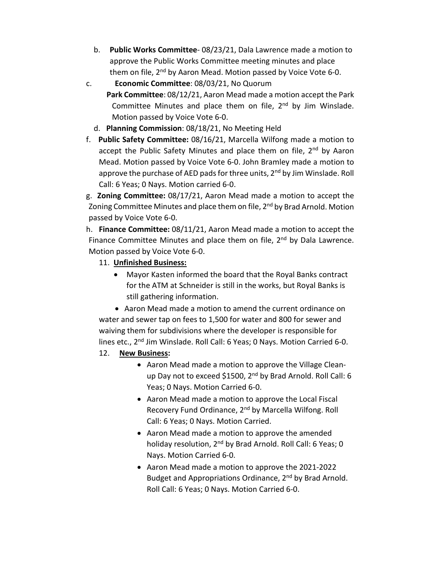- b. **Public Works Committee** 08/23/21, Dala Lawrence made a motion to approve the Public Works Committee meeting minutes and place them on file, 2<sup>nd</sup> by Aaron Mead. Motion passed by Voice Vote 6-0.
- c. **Economic Committee**: 08/03/21, No Quorum
	- **Park Committee**: 08/12/21, Aaron Mead made a motion accept the Park Committee Minutes and place them on file, 2<sup>nd</sup> by Jim Winslade. Motion passed by Voice Vote 6-0.
	- d. **Planning Commission**: 08/18/21, No Meeting Held
- f. **Public Safety Committee:** 08/16/21, Marcella Wilfong made a motion to accept the Public Safety Minutes and place them on file, 2<sup>nd</sup> by Aaron Mead. Motion passed by Voice Vote 6-0. John Bramley made a motion to approve the purchase of AED pads for three units, 2<sup>nd</sup> by Jim Winslade. Roll Call: 6 Yeas; 0 Nays. Motion carried 6-0.

g. **Zoning Committee:** 08/17/21, Aaron Mead made a motion to accept the Zoning Committee Minutes and place them on file, 2<sup>nd</sup> by Brad Arnold. Motion passed by Voice Vote 6-0.

h. **Finance Committee:** 08/11/21, Aaron Mead made a motion to accept the Finance Committee Minutes and place them on file,  $2<sup>nd</sup>$  by Dala Lawrence. Motion passed by Voice Vote 6-0.

- 11. **Unfinished Business:** 
	- Mayor Kasten informed the board that the Royal Banks contract for the ATM at Schneider is still in the works, but Royal Banks is still gathering information.

• Aaron Mead made a motion to amend the current ordinance on water and sewer tap on fees to 1,500 for water and 800 for sewer and waiving them for subdivisions where the developer is responsible for lines etc., 2<sup>nd</sup> Jim Winslade. Roll Call: 6 Yeas; 0 Nays. Motion Carried 6-0.

- 12. **New Business:** 
	- Aaron Mead made a motion to approve the Village Cleanup Day not to exceed \$1500, 2<sup>nd</sup> by Brad Arnold. Roll Call: 6 Yeas; 0 Nays. Motion Carried 6-0.
	- Aaron Mead made a motion to approve the Local Fiscal Recovery Fund Ordinance, 2nd by Marcella Wilfong. Roll Call: 6 Yeas; 0 Nays. Motion Carried.
	- Aaron Mead made a motion to approve the amended holiday resolution, 2<sup>nd</sup> by Brad Arnold. Roll Call: 6 Yeas; 0 Nays. Motion Carried 6-0.
	- Aaron Mead made a motion to approve the 2021-2022 Budget and Appropriations Ordinance, 2<sup>nd</sup> by Brad Arnold. Roll Call: 6 Yeas; 0 Nays. Motion Carried 6-0.